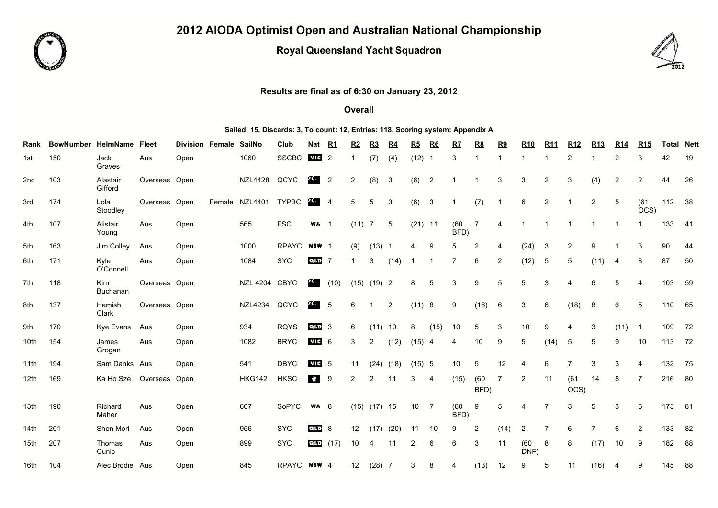

## **2012 AIODA Optimist Open and Australian National Championship**

## **Royal Queensland Yacht Squadron**



## **Results are final as of 6:30 on January 23, 2012**

## **Overall**

**Sailed: 15, Discards: 3, To count: 12, Entries: 118, Scoring system: Appendix A**

| Rank             | <b>BowNumber</b> | HelmName            | <b>Fleet</b>  | <b>Division Female</b> | <b>SailNo</b>  | Club         | Nat                       | R1             | R2              | R3               | <u>R4</u>      | R5        | R6             | R7           | <u>R8</u>      | <u>R9</u>      | <b>R10</b>     | <b>R11</b>     | <b>R12</b>     | <u>R13</u> | <b>R14</b> | <b>R15</b>     | <b>Total Nett</b> |      |
|------------------|------------------|---------------------|---------------|------------------------|----------------|--------------|---------------------------|----------------|-----------------|------------------|----------------|-----------|----------------|--------------|----------------|----------------|----------------|----------------|----------------|------------|------------|----------------|-------------------|------|
| 1st              | 150              | Jack<br>Graves      | Aus           | Open                   | 1060           | <b>SSCBC</b> | VIC                       | $\overline{2}$ |                 | (7)              | (4)            | (12)      |                | 3            |                |                | 1              | 1              | 2              |            | 2          | 3              | 42                | 19   |
| 2nd              | 103              | Alastair<br>Gifford | Overseas Open |                        | <b>NZL4428</b> | QCYC         | д.                        | $\overline{2}$ | $\overline{2}$  | (8)              | 3              | (6)       | $\overline{2}$ |              |                | 3              | 3              | $\overline{2}$ | 3              | (4)        | 2          | $\overline{2}$ | 44                | 26   |
| 3rd              | 174              | Lola<br>Stoodley    | Overseas      | Open                   | Female NZL4401 | <b>TYPBC</b> | $\mathbf{F} = \mathbf{A}$ |                | 5               | 5                | 3              | (6)       | 3              |              | (7)            | -1             | 6              | $\overline{2}$ | 1              | 2          | 5          | (61)<br>OCS    | 112               | 38   |
| 4th              | 107              | Alistair<br>Young   | Aus           | Open                   | 565            | <b>FSC</b>   | <b>WA</b> 1               |                | $(11)$ 7        |                  | 5              | $(21)$ 11 |                | (60)<br>BFD  | 7              | 4              |                |                |                |            |            |                | 133               | - 41 |
| 5th              | 163              | Jim Colley          | Aus           | Open                   | 1000           | <b>RPAYC</b> | <b>NSW</b> 1              |                | (9)             | $(13)$ 1         |                | 4         | 9              | 5            | $\overline{2}$ | 4              | (24)           | 3              | $\overline{2}$ | 9          |            | 3              | 90                | 44   |
| 6th              | 171              | Kyle<br>O'Connell   | Aus           | Open                   | 1084           | <b>SYC</b>   | <b>QLD</b>                | -7             | -1              | 3                | (14)           | -1        |                |              | 6              | $\overline{2}$ | (12)           | 5              | 5              | (11)       | 4          | 8              | 87                | 50   |
| 7th              | 118              | Kim<br>Buchanan     | Overseas Open |                        | NZL 4204       | <b>CBYC</b>  | 20.                       | (10)           | (15)            | $(19)$ 2         |                | 8         | 5              | 3            | 9              | 5              | 5              | 3              | $\overline{4}$ | 6          | 5          | $\overline{4}$ | 103               | 59   |
| 8th              | 137              | Hamish<br>Clark     | Overseas Open |                        | <b>NZL4234</b> | QCYC         | 20.                       | -5             | 6               | 1                | $\overline{2}$ | (11) 8    |                | 9            | (16)           | 6              | 3              | 6              | (18)           | 8          | 6          | 5              | 110               | 65   |
| 9th              | 170              | Kye Evans           | Aus           | Open                   | 934            | <b>RQYS</b>  | લાન 3                     |                | 6               | (11)             | 10             | 8         | (15)           | 10           | 5              | 3              | 10             | 9              | 4              | 3          | (11)       | $\mathbf{1}$   | 109               | 72   |
| 10th             | 154              | James<br>Grogan     | Aus           | Open                   | 1082           | <b>BRYC</b>  | $MT = 6$                  |                | 3               | 2                | (12)           | (15)      | 4              | 4            | 10             | 9              | 5              | (14)           | 5              | 5          | 9          | 10             | 113               | 72   |
| 11th             | 194              | Sam Danks Aus       |               | Open                   | 541            | <b>DBYC</b>  | $v$ ie 5                  |                | 11              |                  | $(24)$ $(18)$  | (15) 5    |                | 10           | 5              | 12             | 4              | 6              | $\overline{7}$ | 3          | 3          | $\overline{4}$ | 132               | 75   |
| 12 <sub>th</sub> | 169              | Ka Ho Sze           | Overseas      | Open                   | <b>HKG142</b>  | <b>HKSC</b>  | $\mathcal{A}$             | 9              | 2               | 2                | 11             | 3         | 4              | (15)         | (60)<br>BFD)   | $\overline{7}$ | $\overline{2}$ | 11             | (61)<br>OCS)   | 14         | 8          | $\overline{7}$ | 216               | 80   |
| 13th             | 190              | Richard<br>Maher    | Aus           | Open                   | 607            | SoPYC        | <b>WA 8</b>               |                |                 | $(15)$ $(17)$ 15 |                | 10        | 7              | (60)<br>BFD) | 9              | 5              | 4              | $\overline{7}$ | 3              | 5          | 3          | 5              | 173               | 81   |
| 14 <sub>th</sub> | 201              | Shon Mori           | Aus           | Open                   | 956            | <b>SYC</b>   | elo                       | -8             | 12 <sup>°</sup> | (17)             | (20)           | 11        | 10             | 9            | $\overline{2}$ | (14)           | 2              | 7              | 6              | 7          | 6          | $\overline{2}$ | 133               | 82   |
| 15 <sub>th</sub> | 207              | Thomas<br>Cunic     | Aus           | Open                   | 899            | <b>SYC</b>   | <b>QLD</b>                | (17)           | 10              | 4                | 11             | 2         | 6              | 6            | 3              | 11             | (60)<br>DNF)   | 8              | 8              | (17)       | 10         | 9              | 182               | 88   |
| 16th             | 104              | Alec Brodie Aus     |               | Open                   | 845            | RPAYC NSW 4  |                           |                | 12              | $(28)$ 7         |                | 3         | 8              | 4            | (13)           | 12             | 9              | 5              | 11             | (16)       | 4          | 9              | 145               | 88   |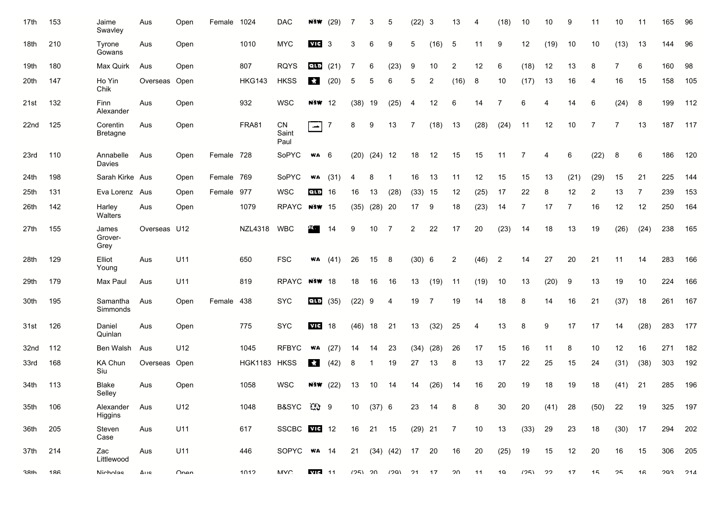| 17th         | 153 | Jaime<br>Swavley            | Aus          | Open     | Female     | 1024           | <b>DAC</b>          | N SW             | (29) | 7    | 3         | 5                  | (22)      | 3    | 13             |      | (18)           | 10   | 10   | 9    | 11             | 10   | 11   | 165         | 96  |
|--------------|-----|-----------------------------|--------------|----------|------------|----------------|---------------------|------------------|------|------|-----------|--------------------|-----------|------|----------------|------|----------------|------|------|------|----------------|------|------|-------------|-----|
| 18th         | 210 | Tyrone<br>Gowans            | Aus          | Open     |            | 1010           | <b>MYC</b>          | $VIG = 3$        |      | 3    | 6         | 9                  | 5         | (16) | 5              | 11   | 9              | 12   | (19) | 10   | 10             | (13) | 13   | 144         | 96  |
| 19th         | 180 | Max Quirk                   | Aus          | Open     |            | 807            | <b>RQYS</b>         | QLD              | (21) |      | 6         | (23)               | 9         | 10   | 2              | 12   | 6              | (18) | 12   | 13   | 8              |      | 6    | 160         | 98  |
| 20th         | 147 | Ho Yin<br>Chik              | Overseas     | Open     |            | <b>HKG143</b>  | <b>HKSS</b>         | $\mathcal{M}$    | (20) | 5    | 5         | 6                  | 5         | 2    | (16)           | 8    | 10             | (17) | 13   | 16   | 4              | 16   | 15   | 158         | 105 |
| 21st         | 132 | Finn<br>Alexander           | Aus          | Open     |            | 932            | <b>WSC</b>          | <b>NSW</b> 12    |      | (38) | 19        | (25)               | 4         | 12   | 6              | 14   | $\overline{7}$ | 6    | 4    | 14   | 6              | (24) | 8    | 199         | 112 |
| 22nd         | 125 | Corentin<br><b>Bretagne</b> | Aus          | Open     |            | FRA81          | CN<br>Saint<br>Paul | $\left  \right $ | 7    | 8    | 9         | 13                 |           | (18) | 13             | (28) | (24)           | 11   | 12   | 10   | $\overline{7}$ | 7    | 13   | 187         | 117 |
| 23rd         | 110 | Annabelle<br>Davies         | Aus          | Open     | Female 728 |                | SoPYC               | WA               | 6    | (20) | $(24)$ 12 |                    | 18        | 12   | 15             | 15   | 11             | 7    | 4    | 6    | (22)           | 8    | 6    | 186         | 120 |
| 24th         | 198 | Sarah Kirke Aus             |              | Open     | Female 769 |                | SoPYC               | WA               | (31) |      |           |                    | 16        | 13   | 11             | 12   | 15             | 15   | 13   | (21) | (29)           | 15   | 21   | 225         | 144 |
| 25th         | 131 | Eva Lorenz Aus              |              | Open     | Female     | 977            | <b>WSC</b>          | <b>QLD</b>       | 16   | 16   | 13        | (28)               | (33)      | - 15 | 12             | (25) | 17             | 22   | 8    | 12   | 2              | 13   | 7    | 239         | 153 |
| 26th         | 142 | Harley<br>Walters           | Aus          | Open     |            | 1079           | RPAYC               | <b>N3W</b> 15    |      | (35) | $(28)$ 20 |                    | 17        | 9    | 18             | (23) | 14             | 7    | 17   | 7    | 16             | 12   | 12   | 250         | 164 |
| 27th         | 155 | James<br>Grover-<br>Grey    | Overseas U12 |          |            | <b>NZL4318</b> | <b>WBC</b>          | ч.               | 14   | 9    | 10        | 7                  | 2         | 22   | 17             | 20   | (23)           | 14   | 18   | 13   | 19             | (26) | (24) | 238         | 165 |
| 28th         | 129 | Elliot<br>Young             | Aus          | U11      |            | 650            | <b>FSC</b>          | WA               | (41) | 26   | 15        | $^{\circ}$ 8       | (30)      | 6    | 2              | (46) | $\overline{2}$ | 14   | 27   | 20   | 21             | 11   | 14   | 283         | 166 |
| 29th         | 179 | Max Paul                    | Aus          | U11      |            | 819            | <b>RPAYC</b>        | <b>NSW 18</b>    |      | 18   | 16        | 16                 | 13        | (19) | 11             | (19) | 10             | 13   | (20) | 9    | 13             | 19   | 10   | 224         | 166 |
| 30th         | 195 | Samantha<br>Simmonds        | Aus          | Open     | Female 438 |                | <b>SYC</b>          | <b>QLD</b>       | (35) | (22) | 9         | 4                  | 19        | 7    | 19             | 14   | 18             | 8    | 14   | 16   | 21             | (37) | 18   | 261         | 167 |
| 31st         | 126 | Daniel<br>Quinlan           | Aus          | Open     |            | 775            | <b>SYC</b>          | vic              | 18   | (46) | 18        | 21                 | 13        | (32) | 25             | 4    | 13             | 8    | 9    | 17   | 17             | 14   | (28) | 283         | 177 |
| 32nd         | 112 | Ben Walsh                   | Aus          | U12      |            | 1045           | <b>RFBYC</b>        | WA               | (27) | 14   | 14        | 23                 | (34)      | (28) | 26             | 17   | 15             | 16   | 11   | 8    | 10             | 12   | 16   | 271         | 182 |
| 33rd         | 168 | KA Chun<br>Siu              | Overseas     | Open     |            | HGK1183 HKSS   |                     | $\mathcal{A}$    | (42) | 8    | -1        | 19                 | 27        | 13   | 8              | 13   | 17             | 22   | 25   | 15   | 24             | (31) | (38) | 303         | 192 |
| 34th         | 113 | <b>Blake</b><br>Selley      | Aus          | Open     |            | 1058           | <b>WSC</b>          | NSW.             | (22) | 13   | 10        | 14                 | 14        | (26) | 14             | 16   | 20             | 19   | 18   | 19   | 18             | (41) | 21   | 285         | 196 |
| 35th         | 106 | Alexander<br>Higgins        | Aus          | U12      |            | 1048           | B&SYC <i>【</i> 】 9  |                  |      | 10   | (37) 6    |                    | 23        | 14   | 8              | 8    | 30             | 20   | (41) | 28   | (50)           | 22   | 19   | 325         | 197 |
| 36th         | 205 | Steven<br>Case              | Aus          | U11      |            | 617            | SSCBC <b>WIE</b> 12 |                  |      | 16   | 21 15     |                    | $(29)$ 21 |      | $\overline{7}$ | 10   | 13             | (33) | 29   | 23   | 18             | (30) | 17   | 294         | 202 |
| 37th         | 214 | Zac<br>Littlewood           | Aus          | U11      |            | 446            | SOPYC WA 14         |                  |      | 21   |           | $(34)$ $(42)$ 17   |           | 20   | 16             | 20   | (25)           | 19   | 15   | 12   | 20             | 16   | 15   | 306         | 205 |
| <b>3</b> Rth | 186 | Nicholae                    | Διιe         | $n_{nn}$ |            | 1012           | MVC.                | VII- 11          |      |      |           | (25) 20 (20) 21 17 |           |      | 20             | 11   | 10             | (クら) | つつ   | 17   | 15             | つら   | 16   | $203$ $214$ |     |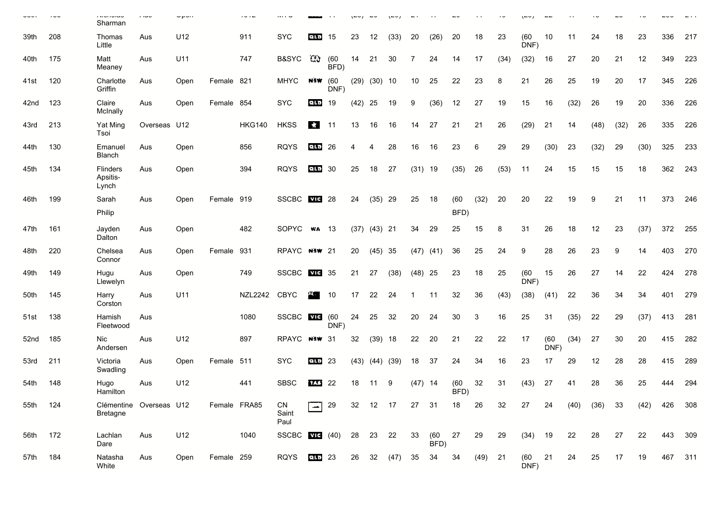| <b>~~</b> … | $\sim$ | i vivi iviuv<br>Sharman                    | , wu         | $\mathsf{v}_{\mathsf{P}}$ |              | $\sim$         |                     |               |              |           |                  |      |           |             |              |           |      |              |              |      |      |      |      |         |     |
|-------------|--------|--------------------------------------------|--------------|---------------------------|--------------|----------------|---------------------|---------------|--------------|-----------|------------------|------|-----------|-------------|--------------|-----------|------|--------------|--------------|------|------|------|------|---------|-----|
| 39th        | 208    | Thomas<br>Little                           | Aus          | U12                       |              | 911            | <b>SYC</b>          | qın           | 15           | 23        | 12               | (33) | 20        | (26)        | 20           | 18        | 23   | (60)<br>DNF) | 10           | 11   | 24   | 18   | 23   | 336     | 217 |
| 40th        | 175    | Matt<br>Meaney                             | Aus          | U11                       |              | 747            | <b>B&amp;SYC</b>    | -Cù           | (60)<br>BFD) | 14        | 21               | 30   | 7         | 24          | 14           | 17        | (34) | (32)         | 16           | 27   | 20   | 21   | 12   | 349     | 223 |
| 41st        | 120    | Charlotte<br>Griffin                       | Aus          | Open                      | Female 821   |                | <b>MHYC</b>         | NSW.          | (60)<br>DNF) |           | $(29)$ $(30)$ 10 |      | 10        | 25          | 22           | 23        | 8    | 21           | 26           | 25   | 19   | 20   | 17   | 345     | 226 |
| 42nd        | 123    | Claire<br>McInally                         | Aus          | Open                      | Female 854   |                | <b>SYC</b>          | QLD           | 19           | $(42)$ 25 |                  | 19   | 9         | (36)        | 12           | 27        | 19   | 15           | 16           | (32) | 26   | 19   | 20   | 336     | 226 |
| 43rd        | 213    | Yat Ming<br>Tsoi                           | Overseas U12 |                           |              | <b>HKG140</b>  | <b>HKSS</b>         | $\mathcal{R}$ | 11           | 13        | 16               | 16   | 14        | 27          | 21           | 21        | 26   | (29)         | 21           | 14   | (48) | (32) | 26   | 335     | 226 |
| 44th        | 130    | Emanuel<br>Blanch                          | Aus          | Open                      |              | 856            | <b>RQYS</b>         | <b>QLD</b>    | 26           | 4         | 4                | 28   | 16        | 16          | 23           | 6         | 29   | 29           | (30)         | 23   | (32) | 29   | (30) | 325     | 233 |
| 45th        | 134    | Flinders<br>Apsitis-<br>Lynch              | Aus          | Open                      |              | 394            | <b>RQYS</b>         | <b>QLD</b>    | 30           | 25        | 18               | 27   | (31)      | 19          | (35)         | 26        | (53) | 11           | 24           | 15   | 15   | 15   | 18   | 362     | 243 |
| 46th        | 199    | Sarah<br>Philip                            | Aus          | Open                      | Female 919   |                | <b>SSCBC</b>        | <b>VIC</b>    | 28           | 24        | $(35)$ 29        |      | 25        | 18          | (60)<br>BFD) | (32)      | 20   | 20           | 22           | 19   | 9    | 21   | 11   | 373     | 246 |
| 47th        | 161    | Jayden                                     | Aus          | Open                      |              | 482            | SOPYC               | W A           | - 13         |           | $(37)$ $(43)$ 21 |      | 34        | 29          | 25           | 15        | 8    | 31           | 26           | 18   | 12   | 23   | (37) | 372     | 255 |
|             |        | Dalton                                     |              |                           |              |                |                     |               |              |           |                  |      |           |             |              |           |      |              |              |      |      |      |      |         |     |
| 48th        | 220    | Chelsea<br>Connor                          | Aus          | Open                      | Female 931   |                | RPAYC NSW 21        |               |              | 20        | $(45)$ 35        |      | (47)      | (41)        | 36           | 25        | 24   | 9            | 28           | 26   | 23   | 9    | 14   | 403     | 270 |
| 49th        | 149    | Hugu<br>Llewelyn                           | Aus          | Open                      |              | 749            | <b>SSCBC</b>        | <b>VIC</b>    | 35           | 21        | 27               | (38) | (48)      | -25         | 23           | 18        | 25   | (60)<br>DNF) | 15           | 26   | 27   | 14   | 22   | 424     | 278 |
| 50th        | 145    | Harry<br>Corston                           | Aus          | U11                       |              | <b>NZL2242</b> | <b>CBYC</b>         | д.,           | 10           | 17        | 22               | 24   |           | 11          | 32           | 36        | (43) | (38)         | (41)         | 22   | 36   | 34   | 34   | 401     | 279 |
| 51st        | 138    | Hamish<br>Fleetwood                        | Aus          |                           |              | 1080           | SSCBC THE           |               | (60)<br>DNF) | 24        | 25               | 32   | 20        | 24          | 30           | 3         | 16   | 25           | 31           | (35) | 22   | 29   | (37) | 413     | 281 |
| 52nd        | 185    | <b>Nic</b><br>Andersen                     | Aus          | U12                       |              | 897            | <b>RPAYC</b>        | <b>N3W</b> 31 |              | 32        | (39)             | 18   | 22        | 20          | 21           | 22        | 22   | 17           | (60)<br>DNF) | (34) | 27   | 30   | 20   | 415     | 282 |
| 53rd        | 211    | Victoria<br>Swadling                       | Aus          | Open                      | Female 511   |                | <b>SYC</b>          | QLD           | 23           | (43)      | $(44)$ $(39)$    |      | 18        | 37          | 24           | 34        | 16   | 23           | 17           | 29   | 12   | 28   | 28   | 415     | 289 |
| 54th        | 148    | Hugo<br>Hamilton                           | Aus          | U12                       |              | 441            | <b>SBSC</b>         | 143           | 22           | 18        | 11               | 9    | $(47)$ 14 |             | (60)<br>BFD) | 32        | 31   | (43)         | 27           | 41   | 28   | 36   | 25   | 444     | 294 |
| 55th        | 124    | Clémentine Overseas U12<br><b>Bretagne</b> |              |                           | Female FRA85 |                | CN<br>Saint<br>Paul | الكر          | 29           | 32        | 12               | 17   | 27        | 31          | 18           | 26        | 32   | 27           | 24           | (40) | (36) | 33   | (42) | 426     | 308 |
| 56th        | 172    | Lachlan<br>Dare                            | Aus          | U12                       |              | 1040           | <b>SSCBC</b>        |               | $T = (40)$   |           | 28 23 22         |      | 33        | (60<br>BFD) | 27           | 29        | 29   | (34)         | 19           | 22   | 28   | 27   | 22   | 443     | 309 |
| 57th        | 184    | Natasha<br>White                           | Aus          | Open                      | Female 259   |                | <b>RQYS</b>         | QLD 23        |              | 26        | 32               | (47) | 35        | 34          | 34           | $(49)$ 21 |      | (60)<br>DNF) | 21           | 24   | 25   | 17   | 19   | 467 311 |     |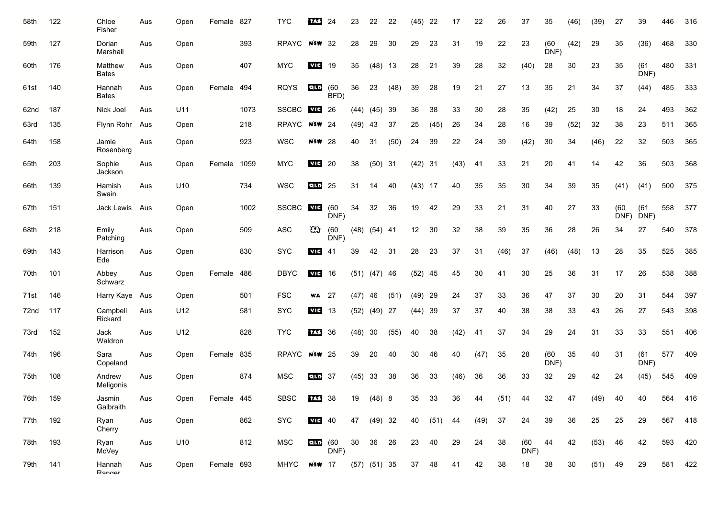| 58th | 122 | Chloe<br>Fisher         | Aus | Open | Female 827 |      | <b>TYC</b>   | <b>TAS</b>    | 24           | 23   | 22               | 22   | (45) | 22   | 17   | 22               | 26        | 37           | 35           | (46)            | (39) | 27           | 39           | 446 | 316 |
|------|-----|-------------------------|-----|------|------------|------|--------------|---------------|--------------|------|------------------|------|------|------|------|------------------|-----------|--------------|--------------|-----------------|------|--------------|--------------|-----|-----|
| 59th | 127 | Dorian<br>Marshall      | Aus | Open |            | 393  | <b>RPAYC</b> | <b>NSW</b>    | 32           | 28   | 29               | 30   | 29   | 23   | 31   | 19               | 22        | 23           | (60)<br>DNF) | (42)            | 29   | 35           | (36)         | 468 | 330 |
| 60th | 176 | Matthew<br><b>Bates</b> | Aus | Open |            | 407  | <b>MYC</b>   | vic           | 19           | 35   | $(48)$ 13        |      | 28   | 21   | 39   | 28               | 32        | (40)         | 28           | 30              | 23   | 35           | (61)<br>DNF) | 480 | 331 |
| 61st | 140 | Hannah<br><b>Bates</b>  | Aus | Open | Female 494 |      | <b>RQYS</b>  | <b>QLD</b>    | (60)<br>BFD) | 36   | 23               | (48) | 39   | 28   | 19   | 21               | 27        | 13           | 35           | 21              | 34   | 37           | (44)         | 485 | 333 |
| 62nd | 187 | Nick Joel               | Aus | U11  |            | 1073 | <b>SSCBC</b> | <b>VIC</b>    | 26           | (44) | (45)             | 39   | 36   | 38   | 33   | 30               | 28        | 35           | (42)         | 25              | 30   | 18           | 24           | 493 | 362 |
| 63rd | 135 | Flynn Rohr              | Aus | Open |            | 218  | RPAYC        | <b>NSW 24</b> |              | (49) | 43               | 37   | 25   | (45) | 26   | 34               | 28        | 16           | 39           | (52)            | 32   | 38           | 23           | 511 | 365 |
| 64th | 158 | Jamie<br>Rosenberg      | Aus | Open |            | 923  | <b>WSC</b>   | N SW          | -28          | 40   | 31               | (50) | 24   | 39   | 22   | 24               | 39        | (42)         | 30           | 34              | (46) | 22           | 32           | 503 | 365 |
| 65th | 203 | Sophie<br>Jackson       | Aus | Open | Female     | 1059 | <b>MYC</b>   | vic           | 20           | 38   | (50)             | -31  | (42) | - 31 | (43) | 41               | 33        | 21           | 20           | 41              | 14   | 42           | 36           | 503 | 368 |
| 66th | 139 | Hamish<br>Swain         | Aus | U10  |            | 734  | <b>WSC</b>   | QLD           | 25           | 31   | 14               | 40   | (43) | 17   | 40   | 35               | 35        | 30           | 34           | 39              | 35   | (41)         | (41)         | 500 | 375 |
| 67th | 151 | Jack Lewis              | Aus | Open |            | 1002 | <b>SSCBC</b> | vic           | (60)<br>DNF) | 34   | 32               | 36   | 19   | 42   | 29   | 33               | 21        | 31           | 40           | 27              | 33   | (60)<br>DNF) | (61)<br>DNF) | 558 | 377 |
| 68th | 218 | Emily<br>Patching       | Aus | Open |            | 509  | <b>ASC</b>   | C)            | (60)<br>DNF) |      | $(48)$ $(54)$ 41 |      | 12   | 30   | 32   | 38               | 39        | 35           | 36           | 28              | 26   | 34           | 27           | 540 | 378 |
| 69th | 143 | Harrison<br>Ede         | Aus | Open |            | 830  | <b>SYC</b>   | <b>VIC</b>    | 41           | 39   | 42               | 31   | 28   | 23   | 37   | 31               | (46)      | 37           | (46)         | (48)            | 13   | 28           | 35           | 525 | 385 |
| 70th | 101 | Abbey<br>Schwarz        | Aus | Open | Female     | 486  | <b>DBYC</b>  | VIC           | 16           |      | $(51)$ $(47)$ 46 |      | (52) | 45   | 45   | 30               | 41        | 30           | 25           | 36              | 31   | 17           | 26           | 538 | 388 |
| 71st | 146 | Harry Kaye              | Aus | Open |            | 501  | <b>FSC</b>   | WA            | 27           | (47) | 46               | (51) | (49) | 29   | 24   | 37               | 33        | 36           | 47           | 37              | 30   | 20           | 31           | 544 | 397 |
| 72nd | 117 | Campbell<br>Rickard     | Aus | U12  |            | 581  | <b>SYC</b>   | vic           | 13           | (52) | (49)             | -27  | (44) | 39   | 37   | 37               | 40        | 38           | 38           | 33              | 43   | 26           | 27           | 543 | 398 |
| 73rd | 152 | Jack<br>Waldron         | Aus | U12  |            | 828  | <b>TYC</b>   | TAS:          | 36           | (48) | 30               | (55) | 40   | 38   | (42) | 41               | 37        | 34           | 29           | 24              | 31   | 33           | 33           | 551 | 406 |
| 74th | 196 | Sara<br>Copeland        | Aus | Open | Female 835 |      | RPAYC        | <b>NSW</b> 25 |              | 39   | 20               | 40   | 30   | 46   | 40   | (47)             | 35        | 28           | (60)<br>DNF) | 35              | 40   | 31           | (61)<br>DNF) | 577 | 409 |
| 75th | 108 | Andrew<br>Meligonis     | Aus | Open |            | 874  | <b>MSC</b>   | QLD           | 37           | (45) | 33               | 38   | 36   | 33   | (46) | 36               | 36        | 33           | 32           | 29              | 42   | 24           | (45)         | 545 | 409 |
| 76th | 159 | Jasmin<br>Galbraith     | Aus | Open | Female 445 |      | SBSC         | 133 38        |              | 19   | $(48)$ 8         |      | 35   | 33   | 36   | $\Lambda\Lambda$ | $(51)$ 44 |              | າາ           | $\overline{17}$ | (49) | - 40         | 40           | 564 | 416 |
| 77th | 192 | Ryan<br>Cherry          | Aus | Open |            | 862  | <b>SYC</b>   | $VIG$ 40      |              | 47   | $(49)$ 32        |      | 40   | (51) | 44   | (49)             | 37        | 24           | 39           | 36              | 25   | 25           | 29           | 567 | 418 |
| 78th | 193 | Ryan<br>McVey           | Aus | U10  |            | 812  | <b>MSC</b>   | <b>QLD</b>    | (60<br>DNF)  | 30   | 36               | 26   | 23   | 40   | 29   | 24               | 38        | (60)<br>DNF) | 44           | 42              | (53) | 46           | 42           | 593 | 420 |
| 79th | 141 | Hannah<br>Ranner        | Aus | Open | Female 693 |      | MHYC         | <b>NSW</b> 17 |              |      | $(57)$ $(51)$ 35 |      | 37   | 48   | 41   | 42               | 38        | 18           | 38           | 30              | (51) | 49           | 29           | 581 | 422 |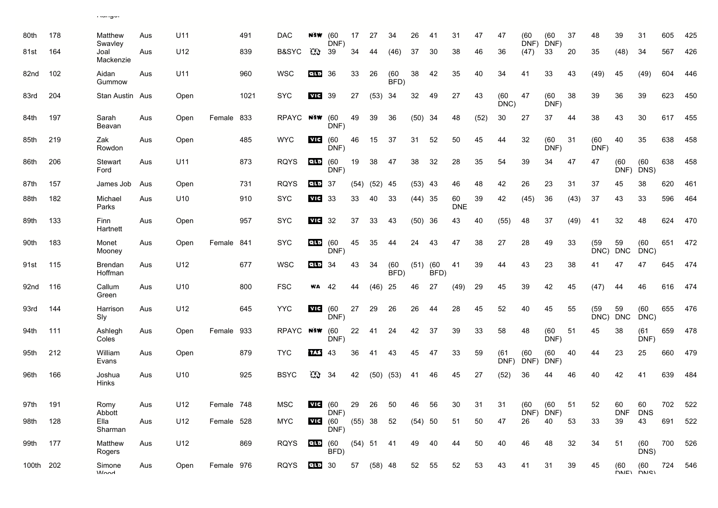| 80th      | 178 | Matthew<br>Swavley        | Aus | U11  |            | 491  | <b>DAC</b>  | NSW        | (60)<br>DNF)        | 17        | 27         | 34           | 26        | 41           | 31               | 47   | 47           | (60<br>DNF)  | (60)<br>DNF)    | 37   | 48               | 39               | 31                 | 605 | 425 |
|-----------|-----|---------------------------|-----|------|------------|------|-------------|------------|---------------------|-----------|------------|--------------|-----------|--------------|------------------|------|--------------|--------------|-----------------|------|------------------|------------------|--------------------|-----|-----|
| 81st      | 164 | Joal<br>Mackenzie         | Aus | U12  |            | 839  | B&SYC       | Cù         | 39                  | 34        | 44         | (46)         | 37        | 30           | 38               | 46   | 36           | (47)         | 33              | 20   | 35               | (48)             | 34                 | 567 | 426 |
| 82nd      | 102 | Aidan<br>Gummow           | Aus | U11  |            | 960  | <b>WSC</b>  | QLD        | 36                  | 33        | 26         | (60)<br>BFD) | 38        | 42           | 35               | 40   | 34           | 41           | 33              | 43   | (49)             | 45               | (49)               | 604 | 446 |
| 83rd      | 204 | Stan Austin Aus           |     | Open |            | 1021 | <b>SYC</b>  | <b>VIC</b> | 39                  | 27        | (53)       | 34           | 32        | 49           | 27               | 43   | (60)<br>DNC) | 47           | (60)<br>DNF)    | 38   | 39               | 36               | 39                 | 623 | 450 |
| 84th      | 197 | Sarah<br>Beavan           | Aus | Open | Female 833 |      | RPAYC       | NSW        | (60)<br>DNF)        | 49        | 39         | 36           | (50)      | 34           | 48               | (52) | 30           | 27           | 37              | 44   | 38               | 43               | 30                 | 617 | 455 |
| 85th      | 219 | Zak<br>Rowdon             | Aus | Open |            | 485  | <b>WYC</b>  | vic        | (60<br>DNF)         | 46        | 15         | 37           | 31        | 52           | 50               | 45   | 44           | 32           | (60)<br>DNF)    | 31   | (60)<br>DNF)     | 40               | 35                 | 638 | 458 |
| 86th      | 206 | Stewart<br>Ford           | Aus | U11  |            | 873  | <b>RQYS</b> | etto       | (60)<br>DNF)        | 19        | 38         | 47           | 38        | 32           | 28               | 35   | 54           | 39           | 34              | 47   | 47               | (60)             | (60)<br>DNF) DNS)  | 638 | 458 |
| 87th      | 157 | James Job                 | Aus | Open |            | 731  | <b>RQYS</b> | <b>QLD</b> | -37                 | (54)      | (52)       | 45           | (53)      | -43          | 46               | 48   | 42           | 26           | 23              | 31   | 37               | 45               | 38                 | 620 | 461 |
| 88th      | 182 | Michael<br>Parks          | Aus | U10  |            | 910  | <b>SYC</b>  | vic        | 33                  | 33        | 40         | 33           | $(44)$ 35 |              | 60<br><b>DNE</b> | 39   | 42           | (45)         | 36              | (43) | 37               | 43               | 33                 | 596 | 464 |
| 89th      | 133 | Finn<br>Hartnett          | Aus | Open |            | 957  | <b>SYC</b>  | vic        | 32                  | 37        | 33         | 43           | (50)      | -36          | 43               | 40   | (55)         | 48           | 37              | (49) | 41               | 32               | 48                 | 624 | 470 |
| 90th      | 183 | Monet<br>Mooney           | Aus | Open | Female 841 |      | <b>SYC</b>  | <b>QLD</b> | (60)<br>DNF)        | 45        | 35         | 44           | 24        | 43           | 47               | 38   | 27           | 28           | 49              | 33   | (59)<br>DNC)     | 59<br><b>DNC</b> | (60)<br>DNC)       | 651 | 472 |
| 91st      | 115 | Brendan<br>Hoffman        | Aus | U12  |            | 677  | <b>WSC</b>  | QLD        | 34                  | 43        | 34         | (60)<br>BFD) | (51)      | (60)<br>BFD) | 41               | 39   | 44           | 43           | 23              | 38   | 41               | 47               | 47                 | 645 | 474 |
| 92nd      | 116 | Callum<br>Green           | Aus | U10  |            | 800  | <b>FSC</b>  | WA         | 42                  | 44        | (46)       | 25           | 46        | 27           | (49)             | 29   | 45           | 39           | 42              | 45   | (47)             | 44               | 46                 | 616 | 474 |
| 93rd      | 144 | Harrison<br>Sly           | Aus | U12  |            | 645  | <b>YYC</b>  | vic        | (60)<br>DNF)        | 27        | 29         | 26           | 26        | 44           | 28               | 45   | 52           | 40           | 45              | 55   | (59)<br>DNC) DNC | 59               | (60)<br>DNC)       | 655 | 476 |
| 94th      | 111 | Ashlegh<br>Coles          | Aus | Open | Female 933 |      | RPAYC NEW   |            | (60<br>DNF)         | 22        | 41         | 24           | 42        | 37           | 39               | 33   | 58           | 48           | (60)<br>DNF)    | 51   | 45               | 38               | (61)<br>DNF)       | 659 | 478 |
| 95th      | 212 | William<br>Evans          | Aus | Open |            | 879  | <b>TYC</b>  | 17.3       | 43                  | 36        | 41         | 43           | 45        | 47           | 33               | 59   | (61)<br>DNF) | (60)<br>DNF) | (60)<br>DNF)    | 40   | 44               | 23               | 25                 | 660 | 479 |
| 96th      | 166 | Joshua<br>Hinks           | Aus | U10  |            | 925  | <b>BSYC</b> | $\alpha$   | 34                  | 42        | (50)       | (53)         | 41        | 46           | 45               | 27   | (52)         | 36           | 44              | 46   | 40               | 42               | 41                 | 639 | 484 |
| 97th      | 191 | Romy                      | Aus | U12  | Female 748 |      | <b>MSC</b>  | <b>VIC</b> | (60                 | 29        | 26         | 50           | 46        | 56           | 30               | 31   | 31           | (60)         | (60             | 51   | 52               | 60               | 60                 | 702 | 522 |
| 98th      | 128 | Abbott<br>Ella<br>Sharman | Aus | U12  | Female 528 |      | <b>MYC</b>  | vic        | DNF)<br>(60<br>DNF) | $(55)$ 38 |            | 52           | (54)      | 50           | 51               | 50   | 47           | 26           | DNF) DNF)<br>40 | 53   | 33               | DNF DNS<br>39    | 43                 | 691 | 522 |
| 99th      | 177 | Matthew<br>Rogers         | Aus | U12  |            | 869  | RQYS        | que        | (60<br>BFD)         |           | (54) 51 41 |              | 49        | 40           | 44               | 50   | 40           | 46           | 48              | 32   | 34               | 51               | (60<br>DNS)        | 700 | 526 |
| 100th 202 |     | Simone<br>$M$ $\sim$ d    | Aus | Open | Female 976 |      | RQYS        | ELLE 30    |                     |           | 57 (58) 48 |              | 52        | 55           | 52               | 53   | 43           | 41           | 31              | 39   | 45               | (60)             | (60<br>DNIE) DNIEI | 724 | 546 |

Ranger